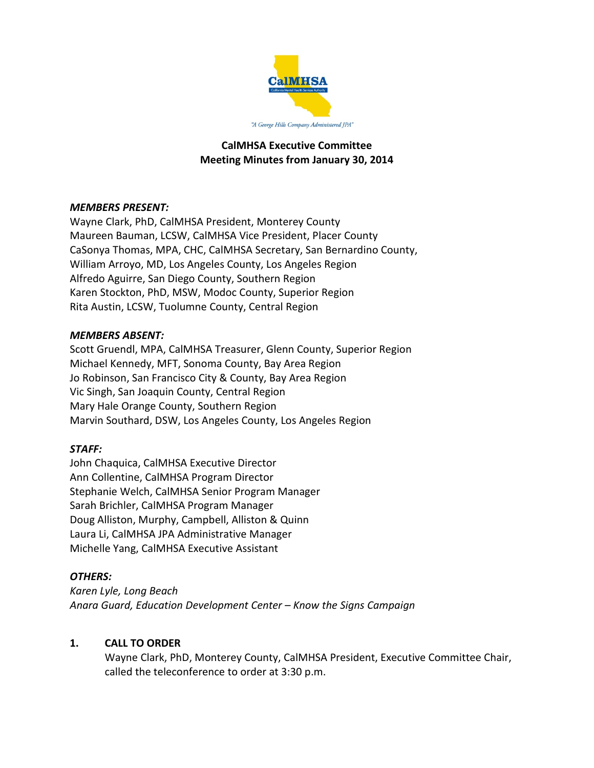

# **CalMHSA Executive Committee Meeting Minutes from January 30, 2014**

## *MEMBERS PRESENT:*

Wayne Clark, PhD, CalMHSA President, Monterey County Maureen Bauman, LCSW, CalMHSA Vice President, Placer County CaSonya Thomas, MPA, CHC, CalMHSA Secretary, San Bernardino County, William Arroyo, MD, Los Angeles County, Los Angeles Region Alfredo Aguirre, San Diego County, Southern Region Karen Stockton, PhD, MSW, Modoc County, Superior Region Rita Austin, LCSW, Tuolumne County, Central Region

### *MEMBERS ABSENT:*

Scott Gruendl, MPA, CalMHSA Treasurer, Glenn County, Superior Region Michael Kennedy, MFT, Sonoma County, Bay Area Region Jo Robinson, San Francisco City & County, Bay Area Region Vic Singh, San Joaquin County, Central Region Mary Hale Orange County, Southern Region Marvin Southard, DSW, Los Angeles County, Los Angeles Region

### *STAFF:*

John Chaquica, CalMHSA Executive Director Ann Collentine, CalMHSA Program Director Stephanie Welch, CalMHSA Senior Program Manager Sarah Brichler, CalMHSA Program Manager Doug Alliston, Murphy, Campbell, Alliston & Quinn Laura Li, CalMHSA JPA Administrative Manager Michelle Yang, CalMHSA Executive Assistant

### *OTHERS:*

*Karen Lyle, Long Beach Anara Guard, Education Development Center – Know the Signs Campaign*

### **1. CALL TO ORDER**

Wayne Clark, PhD, Monterey County, CalMHSA President, Executive Committee Chair, called the teleconference to order at 3:30 p.m.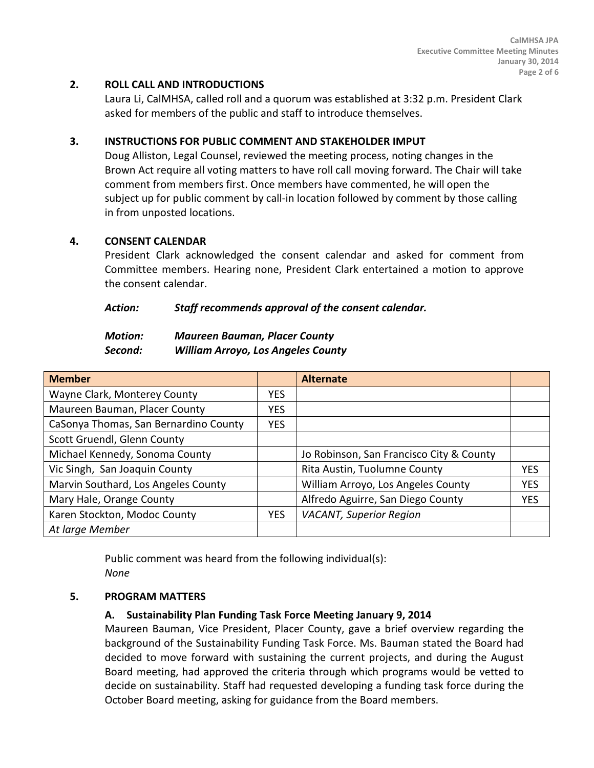# **2. ROLL CALL AND INTRODUCTIONS**

Laura Li, CalMHSA, called roll and a quorum was established at 3:32 p.m. President Clark asked for members of the public and staff to introduce themselves.

## **3. INSTRUCTIONS FOR PUBLIC COMMENT AND STAKEHOLDER IMPUT**

Doug Alliston, Legal Counsel, reviewed the meeting process, noting changes in the Brown Act require all voting matters to have roll call moving forward. The Chair will take comment from members first. Once members have commented, he will open the subject up for public comment by call-in location followed by comment by those calling in from unposted locations.

### **4. CONSENT CALENDAR**

President Clark acknowledged the consent calendar and asked for comment from Committee members. Hearing none, President Clark entertained a motion to approve the consent calendar.

### *Action: Staff recommends approval of the consent calendar.*

| <b>Motion:</b> | <b>Maureen Bauman, Placer County</b>      |
|----------------|-------------------------------------------|
| Second:        | <b>William Arroyo, Los Angeles County</b> |

| <b>Member</b>                         |            | <b>Alternate</b>                         |            |
|---------------------------------------|------------|------------------------------------------|------------|
| Wayne Clark, Monterey County          | <b>YES</b> |                                          |            |
| Maureen Bauman, Placer County         | <b>YES</b> |                                          |            |
| CaSonya Thomas, San Bernardino County | <b>YES</b> |                                          |            |
| Scott Gruendl, Glenn County           |            |                                          |            |
| Michael Kennedy, Sonoma County        |            | Jo Robinson, San Francisco City & County |            |
| Vic Singh, San Joaquin County         |            | Rita Austin, Tuolumne County             | <b>YES</b> |
| Marvin Southard, Los Angeles County   |            | William Arroyo, Los Angeles County       | <b>YES</b> |
| Mary Hale, Orange County              |            | Alfredo Aguirre, San Diego County        | <b>YES</b> |
| Karen Stockton, Modoc County          | <b>YES</b> | <b>VACANT, Superior Region</b>           |            |
| At large Member                       |            |                                          |            |

Public comment was heard from the following individual(s): *None*

### **5. PROGRAM MATTERS**

### **A. Sustainability Plan Funding Task Force Meeting January 9, 2014**

Maureen Bauman, Vice President, Placer County, gave a brief overview regarding the background of the Sustainability Funding Task Force. Ms. Bauman stated the Board had decided to move forward with sustaining the current projects, and during the August Board meeting, had approved the criteria through which programs would be vetted to decide on sustainability. Staff had requested developing a funding task force during the October Board meeting, asking for guidance from the Board members.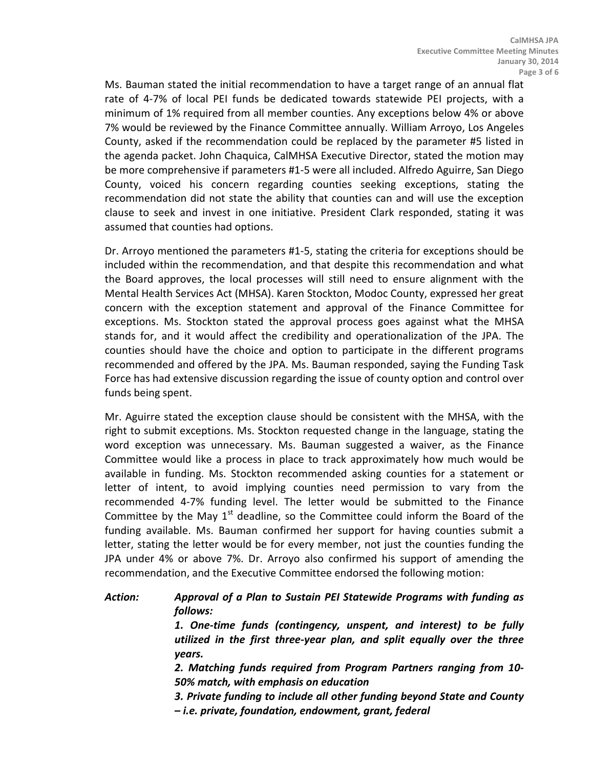Ms. Bauman stated the initial recommendation to have a target range of an annual flat rate of 4-7% of local PEI funds be dedicated towards statewide PEI projects, with a minimum of 1% required from all member counties. Any exceptions below 4% or above 7% would be reviewed by the Finance Committee annually. William Arroyo, Los Angeles County, asked if the recommendation could be replaced by the parameter #5 listed in the agenda packet. John Chaquica, CalMHSA Executive Director, stated the motion may be more comprehensive if parameters #1-5 were all included. Alfredo Aguirre, San Diego County, voiced his concern regarding counties seeking exceptions, stating the recommendation did not state the ability that counties can and will use the exception clause to seek and invest in one initiative. President Clark responded, stating it was assumed that counties had options.

Dr. Arroyo mentioned the parameters #1-5, stating the criteria for exceptions should be included within the recommendation, and that despite this recommendation and what the Board approves, the local processes will still need to ensure alignment with the Mental Health Services Act (MHSA). Karen Stockton, Modoc County, expressed her great concern with the exception statement and approval of the Finance Committee for exceptions. Ms. Stockton stated the approval process goes against what the MHSA stands for, and it would affect the credibility and operationalization of the JPA. The counties should have the choice and option to participate in the different programs recommended and offered by the JPA. Ms. Bauman responded, saying the Funding Task Force has had extensive discussion regarding the issue of county option and control over funds being spent.

Mr. Aguirre stated the exception clause should be consistent with the MHSA, with the right to submit exceptions. Ms. Stockton requested change in the language, stating the word exception was unnecessary. Ms. Bauman suggested a waiver, as the Finance Committee would like a process in place to track approximately how much would be available in funding. Ms. Stockton recommended asking counties for a statement or letter of intent, to avoid implying counties need permission to vary from the recommended 4-7% funding level. The letter would be submitted to the Finance Committee by the May  $1<sup>st</sup>$  deadline, so the Committee could inform the Board of the funding available. Ms. Bauman confirmed her support for having counties submit a letter, stating the letter would be for every member, not just the counties funding the JPA under 4% or above 7%. Dr. Arroyo also confirmed his support of amending the recommendation, and the Executive Committee endorsed the following motion:

# *Action: Approval of a Plan to Sustain PEI Statewide Programs with funding as follows:*

*1. One-time funds (contingency, unspent, and interest) to be fully utilized in the first three-year plan, and split equally over the three years.*

*2. Matching funds required from Program Partners ranging from 10- 50% match, with emphasis on education*

*3. Private funding to include all other funding beyond State and County – i.e. private, foundation, endowment, grant, federal*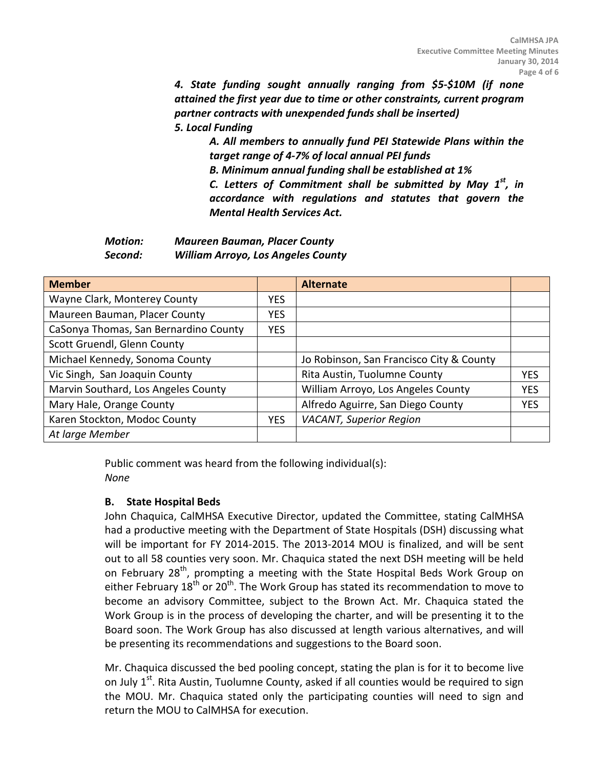*4. State funding sought annually ranging from \$5-\$10M (if none attained the first year due to time or other constraints, current program partner contracts with unexpended funds shall be inserted) 5. Local Funding*

*A. All members to annually fund PEI Statewide Plans within the target range of 4-7% of local annual PEI funds B. Minimum annual funding shall be established at 1% C. Letters of Commitment shall be submitted by May 1st, in accordance with regulations and statutes that govern the Mental Health Services Act.*

*Motion: Maureen Bauman, Placer County Second: William Arroyo, Los Angeles County*

| <b>Member</b>                         |            | <b>Alternate</b>                         |            |
|---------------------------------------|------------|------------------------------------------|------------|
| Wayne Clark, Monterey County          | YES.       |                                          |            |
| Maureen Bauman, Placer County         | YES.       |                                          |            |
| CaSonya Thomas, San Bernardino County | <b>YES</b> |                                          |            |
| Scott Gruendl, Glenn County           |            |                                          |            |
| Michael Kennedy, Sonoma County        |            | Jo Robinson, San Francisco City & County |            |
| Vic Singh, San Joaquin County         |            | Rita Austin, Tuolumne County             | <b>YFS</b> |
| Marvin Southard, Los Angeles County   |            | William Arroyo, Los Angeles County       | <b>YES</b> |
| Mary Hale, Orange County              |            | Alfredo Aguirre, San Diego County        | <b>YES</b> |
| Karen Stockton, Modoc County          | <b>YES</b> | <b>VACANT, Superior Region</b>           |            |
| At large Member                       |            |                                          |            |

Public comment was heard from the following individual(s): *None*

# **B. State Hospital Beds**

John Chaquica, CalMHSA Executive Director, updated the Committee, stating CalMHSA had a productive meeting with the Department of State Hospitals (DSH) discussing what will be important for FY 2014-2015. The 2013-2014 MOU is finalized, and will be sent out to all 58 counties very soon. Mr. Chaquica stated the next DSH meeting will be held on February 28<sup>th</sup>, prompting a meeting with the State Hospital Beds Work Group on either February  $18^{th}$  or  $20^{th}$ . The Work Group has stated its recommendation to move to become an advisory Committee, subject to the Brown Act. Mr. Chaquica stated the Work Group is in the process of developing the charter, and will be presenting it to the Board soon. The Work Group has also discussed at length various alternatives, and will be presenting its recommendations and suggestions to the Board soon.

Mr. Chaquica discussed the bed pooling concept, stating the plan is for it to become live on July 1<sup>st</sup>. Rita Austin, Tuolumne County, asked if all counties would be required to sign the MOU. Mr. Chaquica stated only the participating counties will need to sign and return the MOU to CalMHSA for execution.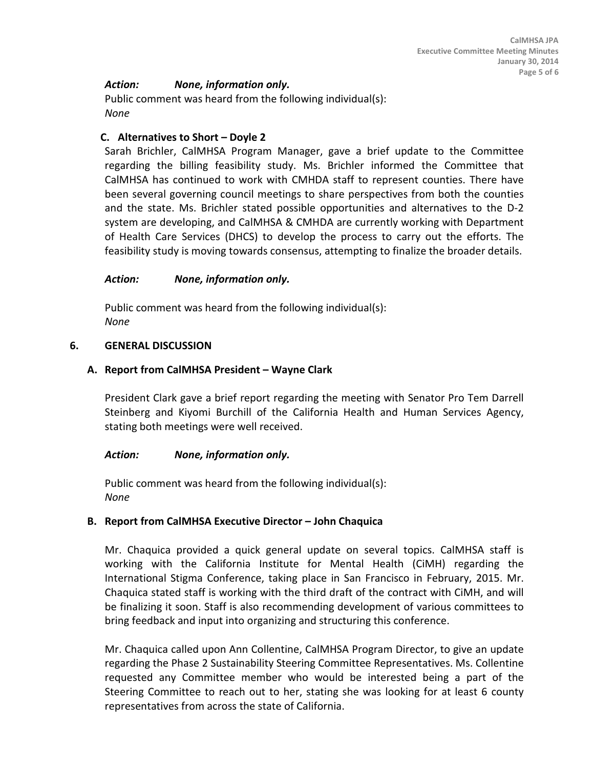## *Action: None, information only.*

Public comment was heard from the following individual(s): *None*

### **C. Alternatives to Short – Doyle 2**

Sarah Brichler, CalMHSA Program Manager, gave a brief update to the Committee regarding the billing feasibility study. Ms. Brichler informed the Committee that CalMHSA has continued to work with CMHDA staff to represent counties. There have been several governing council meetings to share perspectives from both the counties and the state. Ms. Brichler stated possible opportunities and alternatives to the D-2 system are developing, and CalMHSA & CMHDA are currently working with Department of Health Care Services (DHCS) to develop the process to carry out the efforts. The feasibility study is moving towards consensus, attempting to finalize the broader details.

#### *Action: None, information only.*

Public comment was heard from the following individual(s): *None*

#### **6. GENERAL DISCUSSION**

#### **A. Report from CalMHSA President – Wayne Clark**

President Clark gave a brief report regarding the meeting with Senator Pro Tem Darrell Steinberg and Kiyomi Burchill of the California Health and Human Services Agency, stating both meetings were well received.

### *Action: None, information only.*

Public comment was heard from the following individual(s): *None*

#### **B. Report from CalMHSA Executive Director – John Chaquica**

Mr. Chaquica provided a quick general update on several topics. CalMHSA staff is working with the California Institute for Mental Health (CiMH) regarding the International Stigma Conference, taking place in San Francisco in February, 2015. Mr. Chaquica stated staff is working with the third draft of the contract with CiMH, and will be finalizing it soon. Staff is also recommending development of various committees to bring feedback and input into organizing and structuring this conference.

Mr. Chaquica called upon Ann Collentine, CalMHSA Program Director, to give an update regarding the Phase 2 Sustainability Steering Committee Representatives. Ms. Collentine requested any Committee member who would be interested being a part of the Steering Committee to reach out to her, stating she was looking for at least 6 county representatives from across the state of California.